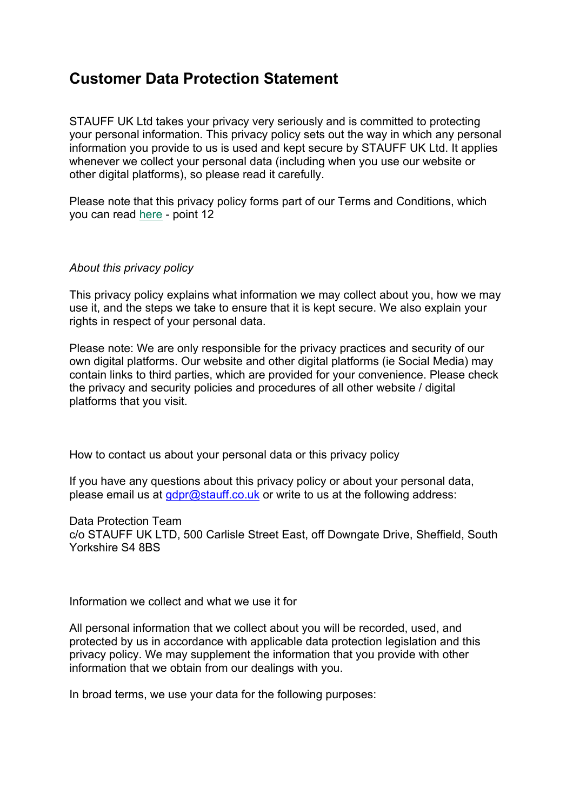# **Customer Data Protection Statement**

STAUFF UK Ltd takes your privacy very seriously and is committed to protecting your personal information. This privacy policy sets out the way in which any personal information you provide to us is used and kept secure by STAUFF UK Ltd. It applies whenever we collect your personal data (including when you use our website or other digital platforms), so please read it carefully.

Please note that this privacy policy forms part of our Terms and Conditions, which you can read here - point 12

#### *About this privacy policy*

This privacy policy explains what information we may collect about you, how we may use it, and the steps we take to ensure that it is kept secure. We also explain your rights in respect of your personal data.

Please note: We are only responsible for the privacy practices and security of our own digital platforms. Our website and other digital platforms (ie Social Media) may contain links to third parties, which are provided for your convenience. Please check the privacy and security policies and procedures of all other website / digital platforms that you visit.

How to contact us about your personal data or this privacy policy

If you have any questions about this privacy policy or about your personal data, please email us at gdpr@stauff.co.uk or write to us at the following address:

Data Protection Team

c/o STAUFF UK LTD, 500 Carlisle Street East, off Downgate Drive, Sheffield, South Yorkshire S4 8BS

Information we collect and what we use it for

All personal information that we collect about you will be recorded, used, and protected by us in accordance with applicable data protection legislation and this privacy policy. We may supplement the information that you provide with other information that we obtain from our dealings with you.

In broad terms, we use your data for the following purposes: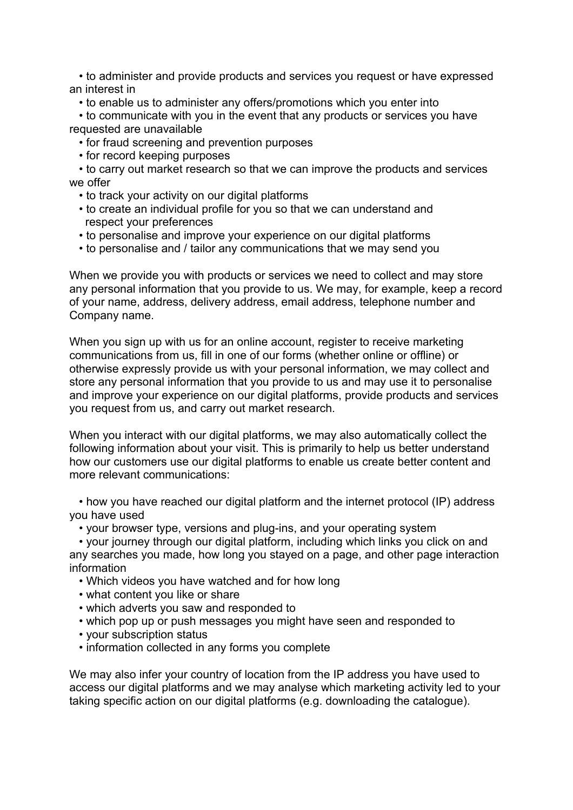• to administer and provide products and services you request or have expressed an interest in

• to enable us to administer any offers/promotions which you enter into

 • to communicate with you in the event that any products or services you have requested are unavailable

• for fraud screening and prevention purposes

• for record keeping purposes

 • to carry out market research so that we can improve the products and services we offer

- to track your activity on our digital platforms
- to create an individual profile for you so that we can understand and respect your preferences
- to personalise and improve your experience on our digital platforms
- to personalise and / tailor any communications that we may send you

When we provide you with products or services we need to collect and may store any personal information that you provide to us. We may, for example, keep a record of your name, address, delivery address, email address, telephone number and Company name.

When you sign up with us for an online account, register to receive marketing communications from us, fill in one of our forms (whether online or offline) or otherwise expressly provide us with your personal information, we may collect and store any personal information that you provide to us and may use it to personalise and improve your experience on our digital platforms, provide products and services you request from us, and carry out market research.

When you interact with our digital platforms, we may also automatically collect the following information about your visit. This is primarily to help us better understand how our customers use our digital platforms to enable us create better content and more relevant communications:

 • how you have reached our digital platform and the internet protocol (IP) address you have used

• your browser type, versions and plug-ins, and your operating system

 • your journey through our digital platform, including which links you click on and any searches you made, how long you stayed on a page, and other page interaction information

- Which videos you have watched and for how long
- what content you like or share
- which adverts you saw and responded to
- which pop up or push messages you might have seen and responded to
- your subscription status
- information collected in any forms you complete

We may also infer your country of location from the IP address you have used to access our digital platforms and we may analyse which marketing activity led to your taking specific action on our digital platforms (e.g. downloading the catalogue).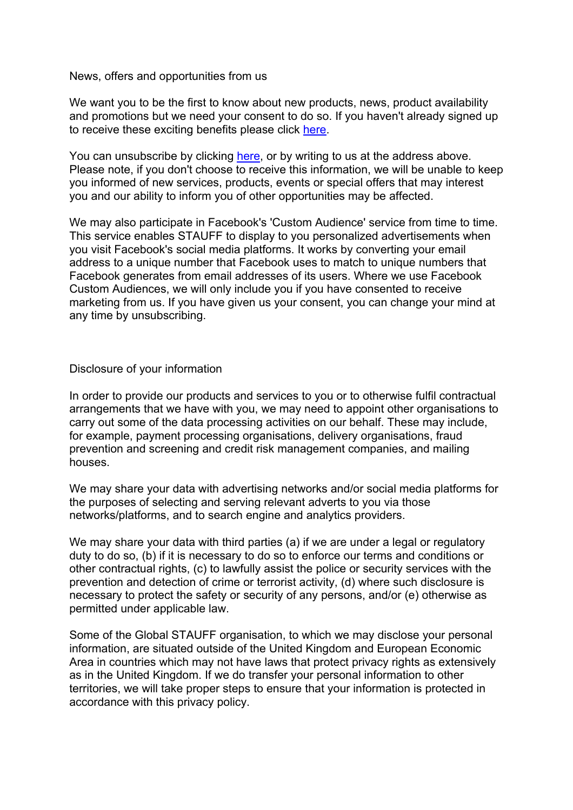#### News, offers and opportunities from us

We want you to be the first to know about new products, news, product availability and promotions but we need your consent to do so. If you haven't already signed up to receive these exciting benefits please click here.

You can unsubscribe by clicking here, or by writing to us at the address above. Please note, if you don't choose to receive this information, we will be unable to keep you informed of new services, products, events or special offers that may interest you and our ability to inform you of other opportunities may be affected.

We may also participate in Facebook's 'Custom Audience' service from time to time. This service enables STAUFF to display to you personalized advertisements when you visit Facebook's social media platforms. It works by converting your email address to a unique number that Facebook uses to match to unique numbers that Facebook generates from email addresses of its users. Where we use Facebook Custom Audiences, we will only include you if you have consented to receive marketing from us. If you have given us your consent, you can change your mind at any time by unsubscribing.

#### Disclosure of your information

In order to provide our products and services to you or to otherwise fulfil contractual arrangements that we have with you, we may need to appoint other organisations to carry out some of the data processing activities on our behalf. These may include, for example, payment processing organisations, delivery organisations, fraud prevention and screening and credit risk management companies, and mailing houses.

We may share your data with advertising networks and/or social media platforms for the purposes of selecting and serving relevant adverts to you via those networks/platforms, and to search engine and analytics providers.

We may share your data with third parties (a) if we are under a legal or regulatory duty to do so, (b) if it is necessary to do so to enforce our terms and conditions or other contractual rights, (c) to lawfully assist the police or security services with the prevention and detection of crime or terrorist activity, (d) where such disclosure is necessary to protect the safety or security of any persons, and/or (e) otherwise as permitted under applicable law.

Some of the Global STAUFF organisation, to which we may disclose your personal information, are situated outside of the United Kingdom and European Economic Area in countries which may not have laws that protect privacy rights as extensively as in the United Kingdom. If we do transfer your personal information to other territories, we will take proper steps to ensure that your information is protected in accordance with this privacy policy.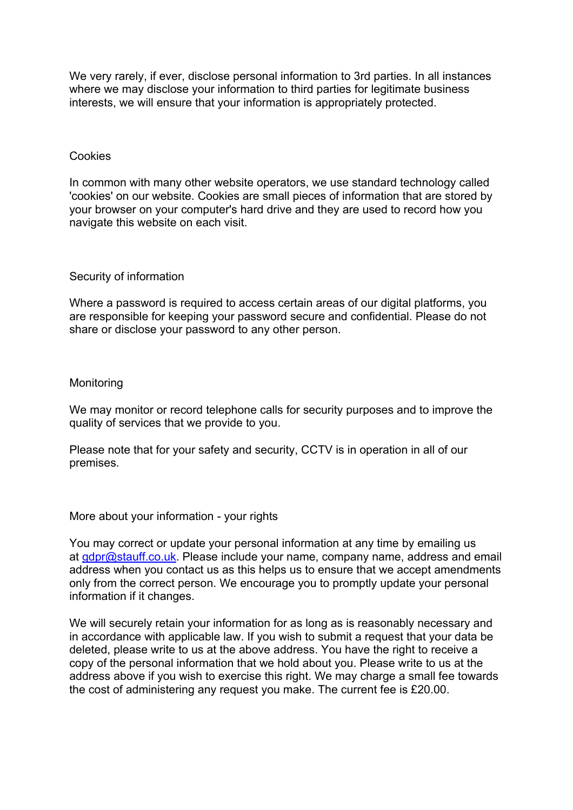We very rarely, if ever, disclose personal information to 3rd parties. In all instances where we may disclose your information to third parties for legitimate business interests, we will ensure that your information is appropriately protected.

#### **Cookies**

In common with many other website operators, we use standard technology called 'cookies' on our website. Cookies are small pieces of information that are stored by your browser on your computer's hard drive and they are used to record how you navigate this website on each visit.

#### Security of information

Where a password is required to access certain areas of our digital platforms, you are responsible for keeping your password secure and confidential. Please do not share or disclose your password to any other person.

#### Monitoring

We may monitor or record telephone calls for security purposes and to improve the quality of services that we provide to you.

Please note that for your safety and security, CCTV is in operation in all of our premises.

More about your information - your rights

You may correct or update your personal information at any time by emailing us at gdpr@stauff.co.uk. Please include your name, company name, address and email address when you contact us as this helps us to ensure that we accept amendments only from the correct person. We encourage you to promptly update your personal information if it changes.

We will securely retain your information for as long as is reasonably necessary and in accordance with applicable law. If you wish to submit a request that your data be deleted, please write to us at the above address. You have the right to receive a copy of the personal information that we hold about you. Please write to us at the address above if you wish to exercise this right. We may charge a small fee towards the cost of administering any request you make. The current fee is £20.00.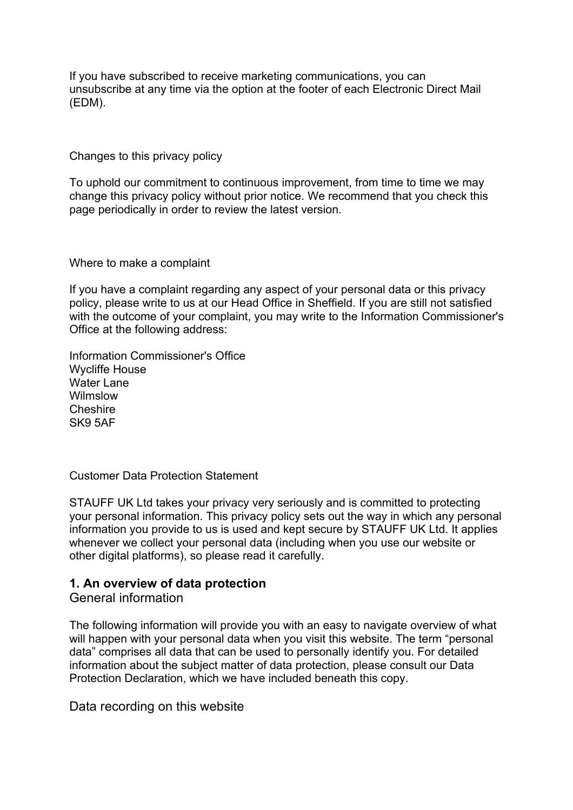If you have subscribed to receive marketing communications, you can unsubscribe at any time via the option at the footer of each Electronic Direct Mail (EDM).

Changes to this privacy policy

To uphold our commitment to continuous improvement, from time to time we may change this privacy policy without prior notice. We recommend that you check this page periodically in order to review the latest version.

Where to make a complaint

If you have a complaint regarding any aspect of your personal data or this privacy policy, please write to us at our Head Office in Sheffield. If you are still not satisfied with the outcome of your complaint, you may write to the Information Commissioner's Office at the following address:

Information Commissioner's Office Wycliffe House Water Lane Wilmslow **Cheshire** SK9 5AF

Customer Data Protection Statement

STAUFF UK Ltd takes your privacy very seriously and is committed to protecting your personal information. This privacy policy sets out the way in which any personal information you provide to us is used and kept secure by STAUFF UK Ltd. It applies whenever we collect your personal data (including when you use our website or other digital platforms), so please read it carefully.

### **1. An overview of data protection**

General information

The following information will provide you with an easy to navigate overview of what will happen with your personal data when you visit this website. The term "personal data" comprises all data that can be used to personally identify you. For detailed information about the subject matter of data protection, please consult our Data Protection Declaration, which we have included beneath this copy.

Data recording on this website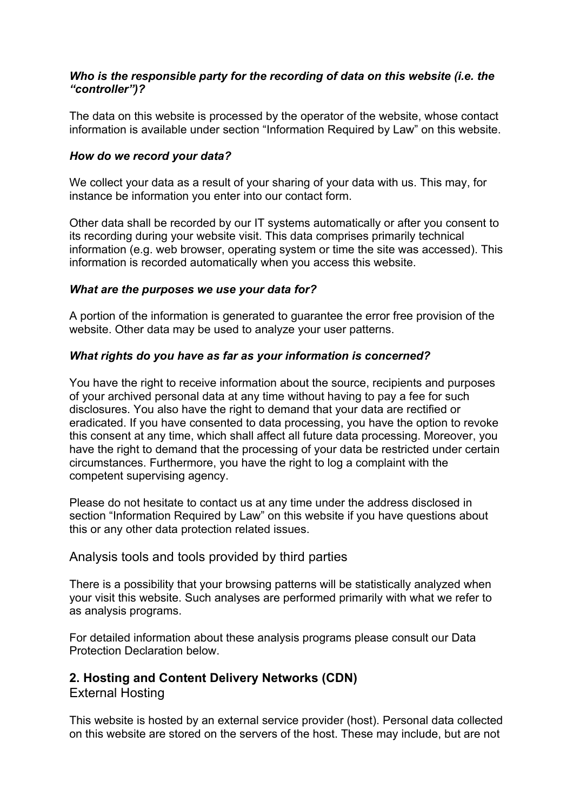### *Who is the responsible party for the recording of data on this website (i.e. the "controller")?*

The data on this website is processed by the operator of the website, whose contact information is available under section "Information Required by Law" on this website.

### *How do we record your data?*

We collect your data as a result of your sharing of your data with us. This may, for instance be information you enter into our contact form.

Other data shall be recorded by our IT systems automatically or after you consent to its recording during your website visit. This data comprises primarily technical information (e.g. web browser, operating system or time the site was accessed). This information is recorded automatically when you access this website.

#### *What are the purposes we use your data for?*

A portion of the information is generated to guarantee the error free provision of the website. Other data may be used to analyze your user patterns.

### *What rights do you have as far as your information is concerned?*

You have the right to receive information about the source, recipients and purposes of your archived personal data at any time without having to pay a fee for such disclosures. You also have the right to demand that your data are rectified or eradicated. If you have consented to data processing, you have the option to revoke this consent at any time, which shall affect all future data processing. Moreover, you have the right to demand that the processing of your data be restricted under certain circumstances. Furthermore, you have the right to log a complaint with the competent supervising agency.

Please do not hesitate to contact us at any time under the address disclosed in section "Information Required by Law" on this website if you have questions about this or any other data protection related issues.

# Analysis tools and tools provided by third parties

There is a possibility that your browsing patterns will be statistically analyzed when your visit this website. Such analyses are performed primarily with what we refer to as analysis programs.

For detailed information about these analysis programs please consult our Data Protection Declaration below.

# **2. Hosting and Content Delivery Networks (CDN)**

External Hosting

This website is hosted by an external service provider (host). Personal data collected on this website are stored on the servers of the host. These may include, but are not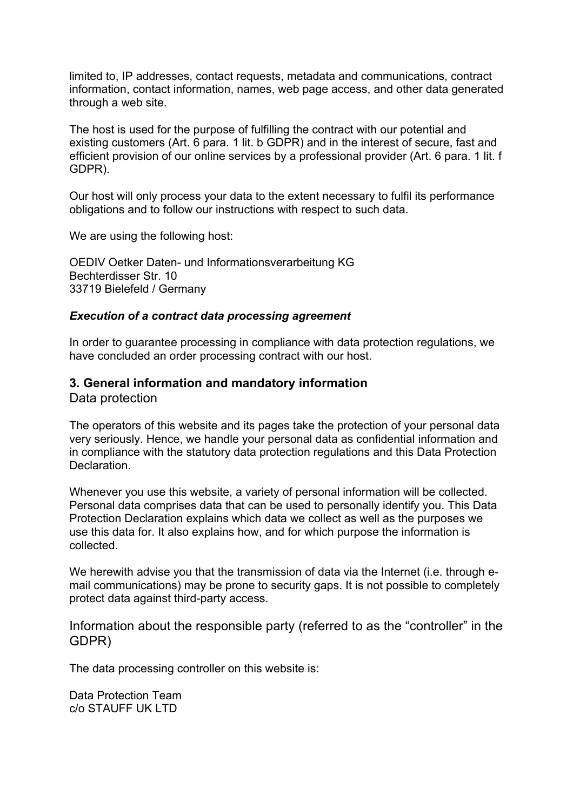limited to, IP addresses, contact requests, metadata and communications, contract information, contact information, names, web page access, and other data generated through a web site.

The host is used for the purpose of fulfilling the contract with our potential and existing customers (Art. 6 para. 1 lit. b GDPR) and in the interest of secure, fast and efficient provision of our online services by a professional provider (Art. 6 para. 1 lit. f GDPR).

Our host will only process your data to the extent necessary to fulfil its performance obligations and to follow our instructions with respect to such data.

We are using the following host:

OEDIV Oetker Daten- und Informationsverarbeitung KG Bechterdisser Str. 10 33719 Bielefeld / Germany

#### *Execution of a contract data processing agreement*

In order to guarantee processing in compliance with data protection regulations, we have concluded an order processing contract with our host.

### **3. General information and mandatory information**

Data protection

The operators of this website and its pages take the protection of your personal data very seriously. Hence, we handle your personal data as confidential information and in compliance with the statutory data protection regulations and this Data Protection Declaration.

Whenever you use this website, a variety of personal information will be collected. Personal data comprises data that can be used to personally identify you. This Data Protection Declaration explains which data we collect as well as the purposes we use this data for. It also explains how, and for which purpose the information is collected.

We herewith advise you that the transmission of data via the Internet (i.e. through email communications) may be prone to security gaps. It is not possible to completely protect data against third-party access.

Information about the responsible party (referred to as the "controller" in the GDPR)

The data processing controller on this website is:

Data Protection Team c/o STAUFF UK LTD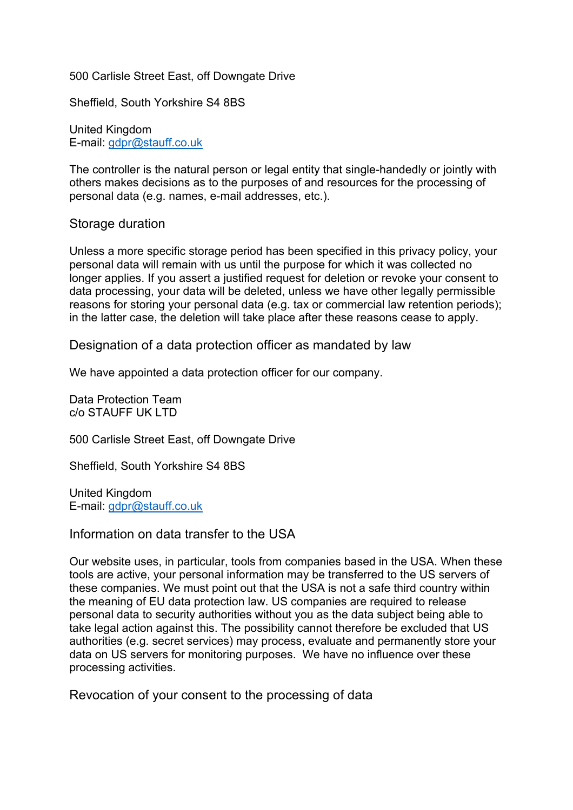500 Carlisle Street East, off Downgate Drive

Sheffield, South Yorkshire S4 8BS

United Kingdom E-mail: gdpr@stauff.co.uk

The controller is the natural person or legal entity that single-handedly or jointly with others makes decisions as to the purposes of and resources for the processing of personal data (e.g. names, e-mail addresses, etc.).

Storage duration

Unless a more specific storage period has been specified in this privacy policy, your personal data will remain with us until the purpose for which it was collected no longer applies. If you assert a justified request for deletion or revoke your consent to data processing, your data will be deleted, unless we have other legally permissible reasons for storing your personal data (e.g. tax or commercial law retention periods); in the latter case, the deletion will take place after these reasons cease to apply.

Designation of a data protection officer as mandated by law

We have appointed a data protection officer for our company.

Data Protection Team c/o STAUFF UK LTD

500 Carlisle Street East, off Downgate Drive

Sheffield, South Yorkshire S4 8BS

United Kingdom E-mail: gdpr@stauff.co.uk

Information on data transfer to the USA

Our website uses, in particular, tools from companies based in the USA. When these tools are active, your personal information may be transferred to the US servers of these companies. We must point out that the USA is not a safe third country within the meaning of EU data protection law. US companies are required to release personal data to security authorities without you as the data subject being able to take legal action against this. The possibility cannot therefore be excluded that US authorities (e.g. secret services) may process, evaluate and permanently store your data on US servers for monitoring purposes. We have no influence over these processing activities.

Revocation of your consent to the processing of data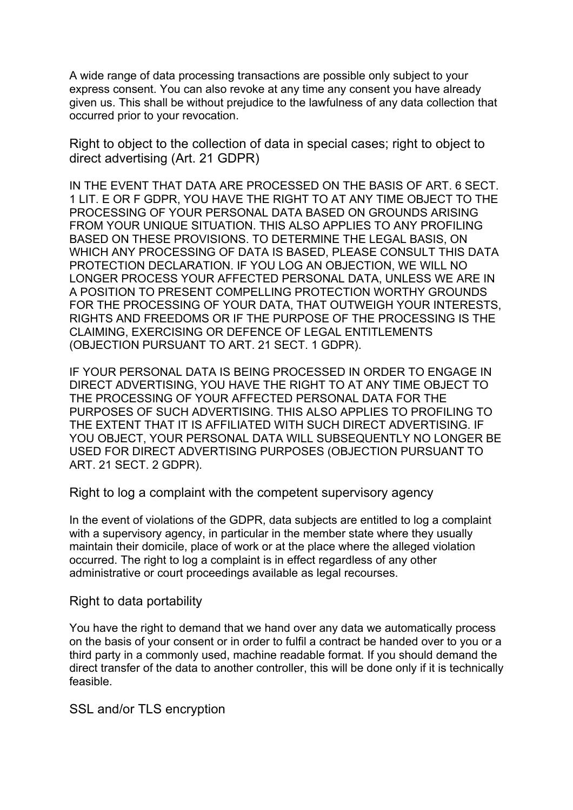A wide range of data processing transactions are possible only subject to your express consent. You can also revoke at any time any consent you have already given us. This shall be without prejudice to the lawfulness of any data collection that occurred prior to your revocation.

Right to object to the collection of data in special cases; right to object to direct advertising (Art. 21 GDPR)

IN THE EVENT THAT DATA ARE PROCESSED ON THE BASIS OF ART. 6 SECT. 1 LIT. E OR F GDPR, YOU HAVE THE RIGHT TO AT ANY TIME OBJECT TO THE PROCESSING OF YOUR PERSONAL DATA BASED ON GROUNDS ARISING FROM YOUR UNIQUE SITUATION. THIS ALSO APPLIES TO ANY PROFILING BASED ON THESE PROVISIONS. TO DETERMINE THE LEGAL BASIS, ON WHICH ANY PROCESSING OF DATA IS BASED, PLEASE CONSULT THIS DATA PROTECTION DECLARATION. IF YOU LOG AN OBJECTION, WE WILL NO LONGER PROCESS YOUR AFFECTED PERSONAL DATA, UNLESS WE ARE IN A POSITION TO PRESENT COMPELLING PROTECTION WORTHY GROUNDS FOR THE PROCESSING OF YOUR DATA, THAT OUTWEIGH YOUR INTERESTS, RIGHTS AND FREEDOMS OR IF THE PURPOSE OF THE PROCESSING IS THE CLAIMING, EXERCISING OR DEFENCE OF LEGAL ENTITLEMENTS (OBJECTION PURSUANT TO ART. 21 SECT. 1 GDPR).

IF YOUR PERSONAL DATA IS BEING PROCESSED IN ORDER TO ENGAGE IN DIRECT ADVERTISING, YOU HAVE THE RIGHT TO AT ANY TIME OBJECT TO THE PROCESSING OF YOUR AFFECTED PERSONAL DATA FOR THE PURPOSES OF SUCH ADVERTISING. THIS ALSO APPLIES TO PROFILING TO THE EXTENT THAT IT IS AFFILIATED WITH SUCH DIRECT ADVERTISING. IF YOU OBJECT, YOUR PERSONAL DATA WILL SUBSEQUENTLY NO LONGER BE USED FOR DIRECT ADVERTISING PURPOSES (OBJECTION PURSUANT TO ART. 21 SECT. 2 GDPR).

Right to log a complaint with the competent supervisory agency

In the event of violations of the GDPR, data subjects are entitled to log a complaint with a supervisory agency, in particular in the member state where they usually maintain their domicile, place of work or at the place where the alleged violation occurred. The right to log a complaint is in effect regardless of any other administrative or court proceedings available as legal recourses.

#### Right to data portability

You have the right to demand that we hand over any data we automatically process on the basis of your consent or in order to fulfil a contract be handed over to you or a third party in a commonly used, machine readable format. If you should demand the direct transfer of the data to another controller, this will be done only if it is technically feasible.

SSL and/or TLS encryption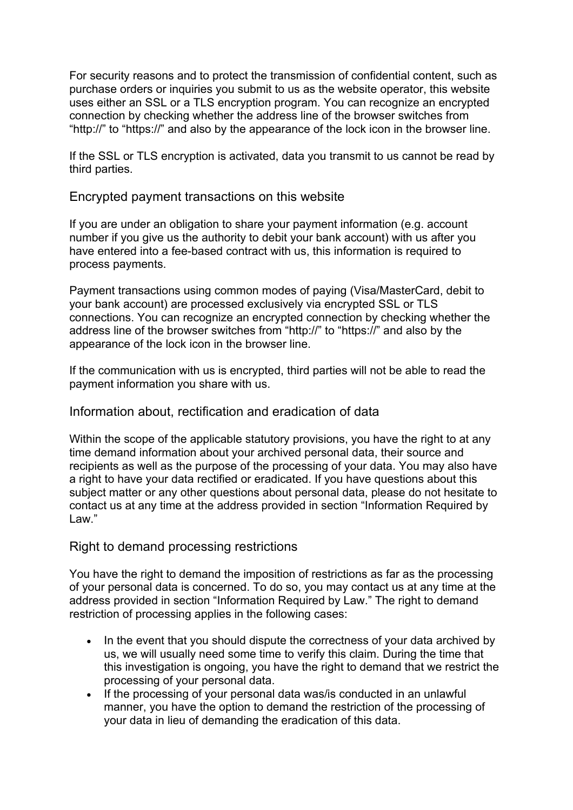For security reasons and to protect the transmission of confidential content, such as purchase orders or inquiries you submit to us as the website operator, this website uses either an SSL or a TLS encryption program. You can recognize an encrypted connection by checking whether the address line of the browser switches from "http://" to "https://" and also by the appearance of the lock icon in the browser line.

If the SSL or TLS encryption is activated, data you transmit to us cannot be read by third parties.

Encrypted payment transactions on this website

If you are under an obligation to share your payment information (e.g. account number if you give us the authority to debit your bank account) with us after you have entered into a fee-based contract with us, this information is required to process payments.

Payment transactions using common modes of paying (Visa/MasterCard, debit to your bank account) are processed exclusively via encrypted SSL or TLS connections. You can recognize an encrypted connection by checking whether the address line of the browser switches from "http://" to "https://" and also by the appearance of the lock icon in the browser line.

If the communication with us is encrypted, third parties will not be able to read the payment information you share with us.

# Information about, rectification and eradication of data

Within the scope of the applicable statutory provisions, you have the right to at any time demand information about your archived personal data, their source and recipients as well as the purpose of the processing of your data. You may also have a right to have your data rectified or eradicated. If you have questions about this subject matter or any other questions about personal data, please do not hesitate to contact us at any time at the address provided in section "Information Required by Law."

# Right to demand processing restrictions

You have the right to demand the imposition of restrictions as far as the processing of your personal data is concerned. To do so, you may contact us at any time at the address provided in section "Information Required by Law." The right to demand restriction of processing applies in the following cases:

- In the event that you should dispute the correctness of your data archived by us, we will usually need some time to verify this claim. During the time that this investigation is ongoing, you have the right to demand that we restrict the processing of your personal data.
- If the processing of your personal data was/is conducted in an unlawful manner, you have the option to demand the restriction of the processing of your data in lieu of demanding the eradication of this data.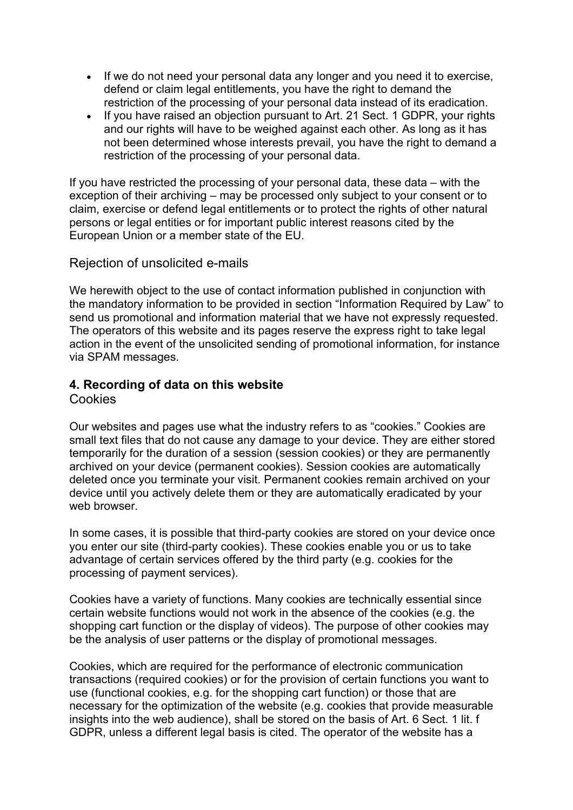- If we do not need your personal data any longer and you need it to exercise, defend or claim legal entitlements, you have the right to demand the restriction of the processing of your personal data instead of its eradication.
- If you have raised an objection pursuant to Art. 21 Sect. 1 GDPR, your rights and our rights will have to be weighed against each other. As long as it has not been determined whose interests prevail, you have the right to demand a restriction of the processing of your personal data.

If you have restricted the processing of your personal data, these data – with the exception of their archiving – may be processed only subject to your consent or to claim, exercise or defend legal entitlements or to protect the rights of other natural persons or legal entities or for important public interest reasons cited by the European Union or a member state of the EU.

### Rejection of unsolicited e-mails

We herewith object to the use of contact information published in conjunction with the mandatory information to be provided in section "Information Required by Law" to send us promotional and information material that we have not expressly requested. The operators of this website and its pages reserve the express right to take legal action in the event of the unsolicited sending of promotional information, for instance via SPAM messages.

### **4. Recording of data on this website**

**Cookies** 

Our websites and pages use what the industry refers to as "cookies." Cookies are small text files that do not cause any damage to your device. They are either stored temporarily for the duration of a session (session cookies) or they are permanently archived on your device (permanent cookies). Session cookies are automatically deleted once you terminate your visit. Permanent cookies remain archived on your device until you actively delete them or they are automatically eradicated by your web browser.

In some cases, it is possible that third-party cookies are stored on your device once you enter our site (third-party cookies). These cookies enable you or us to take advantage of certain services offered by the third party (e.g. cookies for the processing of payment services).

Cookies have a variety of functions. Many cookies are technically essential since certain website functions would not work in the absence of the cookies (e.g. the shopping cart function or the display of videos). The purpose of other cookies may be the analysis of user patterns or the display of promotional messages.

Cookies, which are required for the performance of electronic communication transactions (required cookies) or for the provision of certain functions you want to use (functional cookies, e.g. for the shopping cart function) or those that are necessary for the optimization of the website (e.g. cookies that provide measurable insights into the web audience), shall be stored on the basis of Art. 6 Sect. 1 lit. f GDPR, unless a different legal basis is cited. The operator of the website has a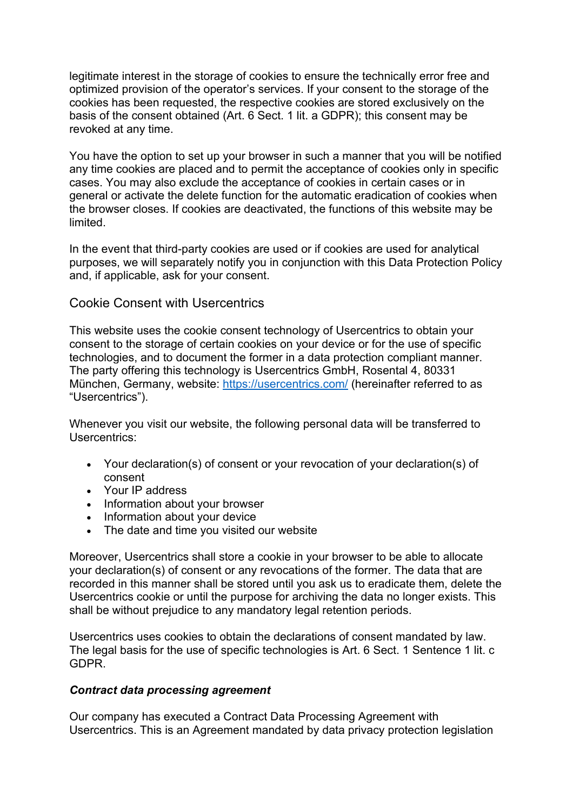legitimate interest in the storage of cookies to ensure the technically error free and optimized provision of the operator's services. If your consent to the storage of the cookies has been requested, the respective cookies are stored exclusively on the basis of the consent obtained (Art. 6 Sect. 1 lit. a GDPR); this consent may be revoked at any time.

You have the option to set up your browser in such a manner that you will be notified any time cookies are placed and to permit the acceptance of cookies only in specific cases. You may also exclude the acceptance of cookies in certain cases or in general or activate the delete function for the automatic eradication of cookies when the browser closes. If cookies are deactivated, the functions of this website may be limited.

In the event that third-party cookies are used or if cookies are used for analytical purposes, we will separately notify you in conjunction with this Data Protection Policy and, if applicable, ask for your consent.

### Cookie Consent with Usercentrics

This website uses the cookie consent technology of Usercentrics to obtain your consent to the storage of certain cookies on your device or for the use of specific technologies, and to document the former in a data protection compliant manner. The party offering this technology is Usercentrics GmbH, Rosental 4, 80331 München, Germany, website: https://usercentrics.com/ (hereinafter referred to as "Usercentrics").

Whenever you visit our website, the following personal data will be transferred to Usercentrics:

- Your declaration(s) of consent or your revocation of your declaration(s) of consent
- Your IP address
- Information about your browser
- Information about your device
- The date and time you visited our website

Moreover, Usercentrics shall store a cookie in your browser to be able to allocate your declaration(s) of consent or any revocations of the former. The data that are recorded in this manner shall be stored until you ask us to eradicate them, delete the Usercentrics cookie or until the purpose for archiving the data no longer exists. This shall be without prejudice to any mandatory legal retention periods.

Usercentrics uses cookies to obtain the declarations of consent mandated by law. The legal basis for the use of specific technologies is Art. 6 Sect. 1 Sentence 1 lit. c GDPR.

#### *Contract data processing agreement*

Our company has executed a Contract Data Processing Agreement with Usercentrics. This is an Agreement mandated by data privacy protection legislation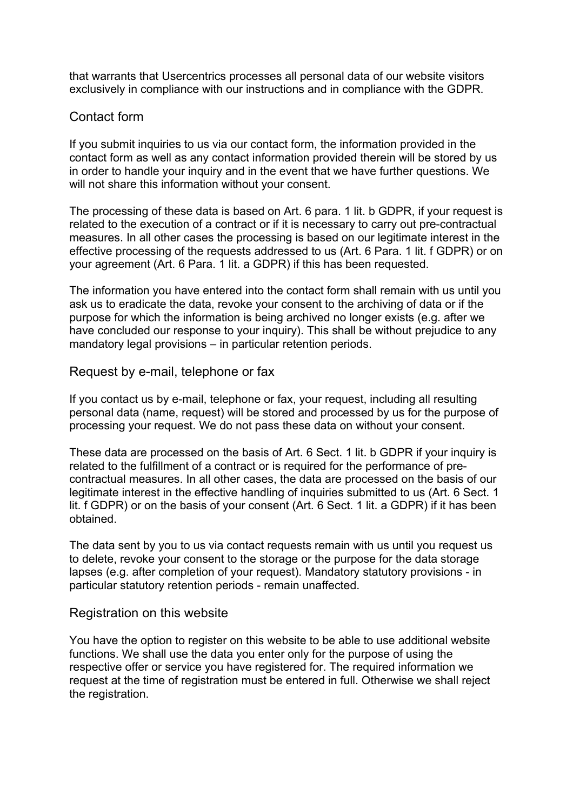that warrants that Usercentrics processes all personal data of our website visitors exclusively in compliance with our instructions and in compliance with the GDPR.

### Contact form

If you submit inquiries to us via our contact form, the information provided in the contact form as well as any contact information provided therein will be stored by us in order to handle your inquiry and in the event that we have further questions. We will not share this information without your consent.

The processing of these data is based on Art. 6 para. 1 lit. b GDPR, if your request is related to the execution of a contract or if it is necessary to carry out pre-contractual measures. In all other cases the processing is based on our legitimate interest in the effective processing of the requests addressed to us (Art. 6 Para. 1 lit. f GDPR) or on your agreement (Art. 6 Para. 1 lit. a GDPR) if this has been requested.

The information you have entered into the contact form shall remain with us until you ask us to eradicate the data, revoke your consent to the archiving of data or if the purpose for which the information is being archived no longer exists (e.g. after we have concluded our response to your inquiry). This shall be without prejudice to any mandatory legal provisions – in particular retention periods.

### Request by e-mail, telephone or fax

If you contact us by e-mail, telephone or fax, your request, including all resulting personal data (name, request) will be stored and processed by us for the purpose of processing your request. We do not pass these data on without your consent.

These data are processed on the basis of Art. 6 Sect. 1 lit. b GDPR if your inquiry is related to the fulfillment of a contract or is required for the performance of precontractual measures. In all other cases, the data are processed on the basis of our legitimate interest in the effective handling of inquiries submitted to us (Art. 6 Sect. 1 lit. f GDPR) or on the basis of your consent (Art. 6 Sect. 1 lit. a GDPR) if it has been obtained.

The data sent by you to us via contact requests remain with us until you request us to delete, revoke your consent to the storage or the purpose for the data storage lapses (e.g. after completion of your request). Mandatory statutory provisions - in particular statutory retention periods - remain unaffected.

#### Registration on this website

You have the option to register on this website to be able to use additional website functions. We shall use the data you enter only for the purpose of using the respective offer or service you have registered for. The required information we request at the time of registration must be entered in full. Otherwise we shall reject the registration.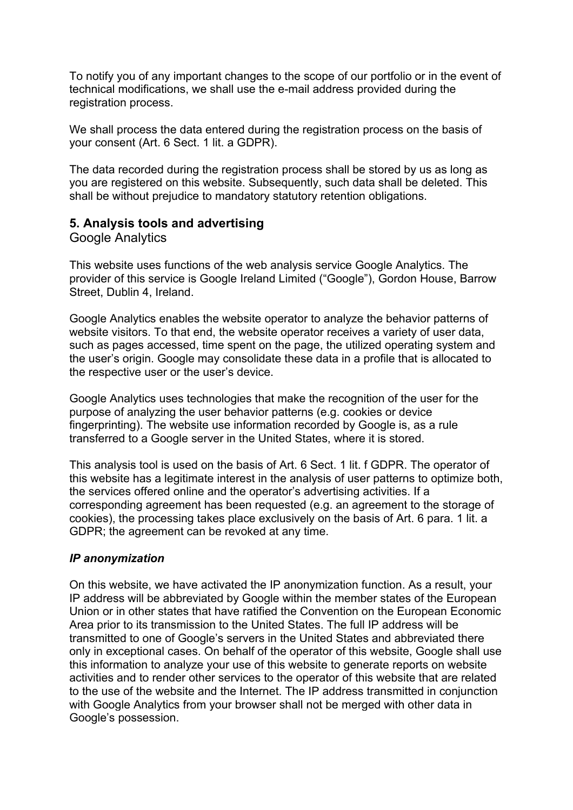To notify you of any important changes to the scope of our portfolio or in the event of technical modifications, we shall use the e-mail address provided during the registration process.

We shall process the data entered during the registration process on the basis of your consent (Art. 6 Sect. 1 lit. a GDPR).

The data recorded during the registration process shall be stored by us as long as you are registered on this website. Subsequently, such data shall be deleted. This shall be without prejudice to mandatory statutory retention obligations.

### **5. Analysis tools and advertising**

Google Analytics

This website uses functions of the web analysis service Google Analytics. The provider of this service is Google Ireland Limited ("Google"), Gordon House, Barrow Street, Dublin 4, Ireland.

Google Analytics enables the website operator to analyze the behavior patterns of website visitors. To that end, the website operator receives a variety of user data, such as pages accessed, time spent on the page, the utilized operating system and the user's origin. Google may consolidate these data in a profile that is allocated to the respective user or the user's device.

Google Analytics uses technologies that make the recognition of the user for the purpose of analyzing the user behavior patterns (e.g. cookies or device fingerprinting). The website use information recorded by Google is, as a rule transferred to a Google server in the United States, where it is stored.

This analysis tool is used on the basis of Art. 6 Sect. 1 lit. f GDPR. The operator of this website has a legitimate interest in the analysis of user patterns to optimize both, the services offered online and the operator's advertising activities. If a corresponding agreement has been requested (e.g. an agreement to the storage of cookies), the processing takes place exclusively on the basis of Art. 6 para. 1 lit. a GDPR; the agreement can be revoked at any time.

#### *IP anonymization*

On this website, we have activated the IP anonymization function. As a result, your IP address will be abbreviated by Google within the member states of the European Union or in other states that have ratified the Convention on the European Economic Area prior to its transmission to the United States. The full IP address will be transmitted to one of Google's servers in the United States and abbreviated there only in exceptional cases. On behalf of the operator of this website, Google shall use this information to analyze your use of this website to generate reports on website activities and to render other services to the operator of this website that are related to the use of the website and the Internet. The IP address transmitted in conjunction with Google Analytics from your browser shall not be merged with other data in Google's possession.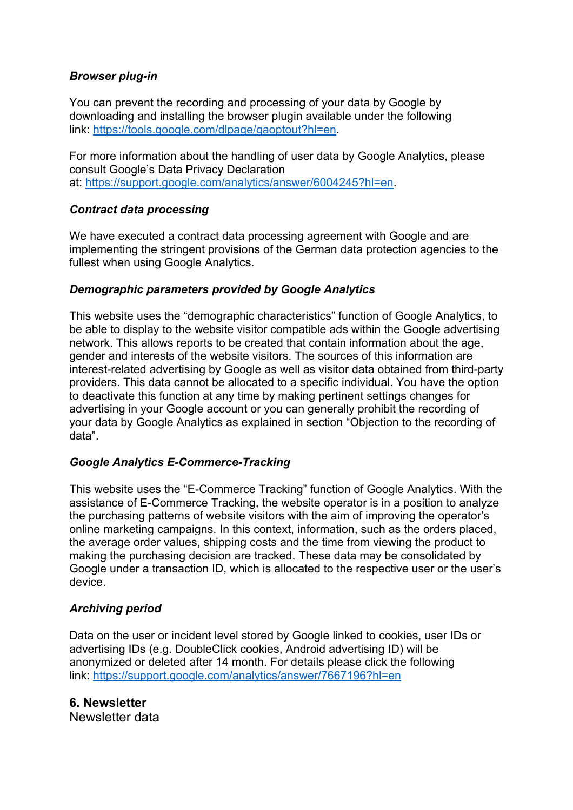# *Browser plug-in*

You can prevent the recording and processing of your data by Google by downloading and installing the browser plugin available under the following link: https://tools.google.com/dlpage/gaoptout?hl=en.

For more information about the handling of user data by Google Analytics, please consult Google's Data Privacy Declaration at: https://support.google.com/analytics/answer/6004245?hl=en.

### *Contract data processing*

We have executed a contract data processing agreement with Google and are implementing the stringent provisions of the German data protection agencies to the fullest when using Google Analytics.

### *Demographic parameters provided by Google Analytics*

This website uses the "demographic characteristics" function of Google Analytics, to be able to display to the website visitor compatible ads within the Google advertising network. This allows reports to be created that contain information about the age, gender and interests of the website visitors. The sources of this information are interest-related advertising by Google as well as visitor data obtained from third-party providers. This data cannot be allocated to a specific individual. You have the option to deactivate this function at any time by making pertinent settings changes for advertising in your Google account or you can generally prohibit the recording of your data by Google Analytics as explained in section "Objection to the recording of data".

# *Google Analytics E-Commerce-Tracking*

This website uses the "E-Commerce Tracking" function of Google Analytics. With the assistance of E-Commerce Tracking, the website operator is in a position to analyze the purchasing patterns of website visitors with the aim of improving the operator's online marketing campaigns. In this context, information, such as the orders placed, the average order values, shipping costs and the time from viewing the product to making the purchasing decision are tracked. These data may be consolidated by Google under a transaction ID, which is allocated to the respective user or the user's device.

# *Archiving period*

Data on the user or incident level stored by Google linked to cookies, user IDs or advertising IDs (e.g. DoubleClick cookies, Android advertising ID) will be anonymized or deleted after 14 month. For details please click the following link: https://support.google.com/analytics/answer/7667196?hl=en

### **6. Newsletter** Newsletter data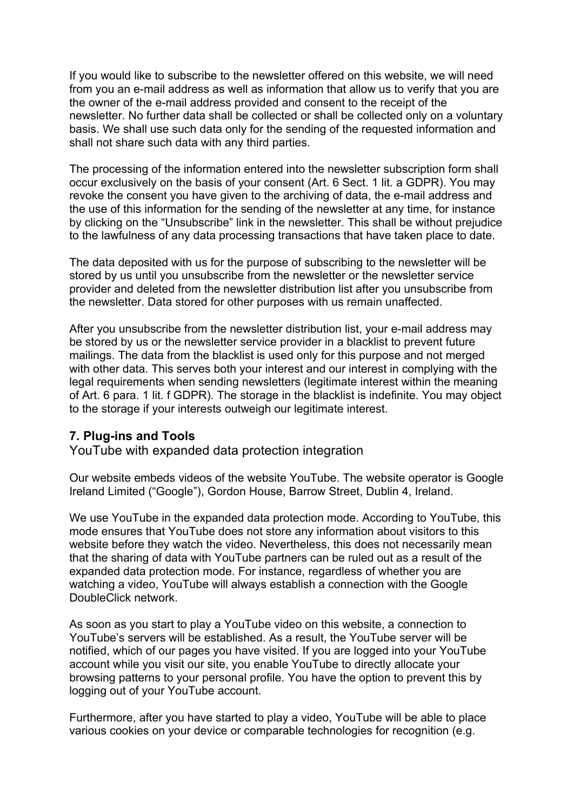If you would like to subscribe to the newsletter offered on this website, we will need from you an e-mail address as well as information that allow us to verify that you are the owner of the e-mail address provided and consent to the receipt of the newsletter. No further data shall be collected or shall be collected only on a voluntary basis. We shall use such data only for the sending of the requested information and shall not share such data with any third parties.

The processing of the information entered into the newsletter subscription form shall occur exclusively on the basis of your consent (Art. 6 Sect. 1 lit. a GDPR). You may revoke the consent you have given to the archiving of data, the e-mail address and the use of this information for the sending of the newsletter at any time, for instance by clicking on the "Unsubscribe" link in the newsletter. This shall be without prejudice to the lawfulness of any data processing transactions that have taken place to date.

The data deposited with us for the purpose of subscribing to the newsletter will be stored by us until you unsubscribe from the newsletter or the newsletter service provider and deleted from the newsletter distribution list after you unsubscribe from the newsletter. Data stored for other purposes with us remain unaffected.

After you unsubscribe from the newsletter distribution list, your e-mail address may be stored by us or the newsletter service provider in a blacklist to prevent future mailings. The data from the blacklist is used only for this purpose and not merged with other data. This serves both your interest and our interest in complying with the legal requirements when sending newsletters (legitimate interest within the meaning of Art. 6 para. 1 lit. f GDPR). The storage in the blacklist is indefinite. You may object to the storage if your interests outweigh our legitimate interest.

#### **7. Plug-ins and Tools**

YouTube with expanded data protection integration

Our website embeds videos of the website YouTube. The website operator is Google Ireland Limited ("Google"), Gordon House, Barrow Street, Dublin 4, Ireland.

We use YouTube in the expanded data protection mode. According to YouTube, this mode ensures that YouTube does not store any information about visitors to this website before they watch the video. Nevertheless, this does not necessarily mean that the sharing of data with YouTube partners can be ruled out as a result of the expanded data protection mode. For instance, regardless of whether you are watching a video, YouTube will always establish a connection with the Google DoubleClick network.

As soon as you start to play a YouTube video on this website, a connection to YouTube's servers will be established. As a result, the YouTube server will be notified, which of our pages you have visited. If you are logged into your YouTube account while you visit our site, you enable YouTube to directly allocate your browsing patterns to your personal profile. You have the option to prevent this by logging out of your YouTube account.

Furthermore, after you have started to play a video, YouTube will be able to place various cookies on your device or comparable technologies for recognition (e.g.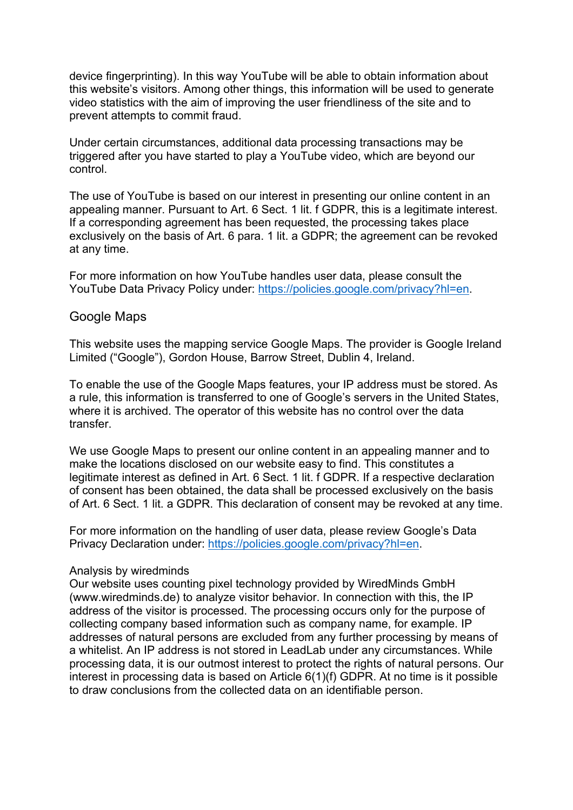device fingerprinting). In this way YouTube will be able to obtain information about this website's visitors. Among other things, this information will be used to generate video statistics with the aim of improving the user friendliness of the site and to prevent attempts to commit fraud.

Under certain circumstances, additional data processing transactions may be triggered after you have started to play a YouTube video, which are beyond our control.

The use of YouTube is based on our interest in presenting our online content in an appealing manner. Pursuant to Art. 6 Sect. 1 lit. f GDPR, this is a legitimate interest. If a corresponding agreement has been requested, the processing takes place exclusively on the basis of Art. 6 para. 1 lit. a GDPR; the agreement can be revoked at any time.

For more information on how YouTube handles user data, please consult the YouTube Data Privacy Policy under: https://policies.google.com/privacy?hl=en.

#### Google Maps

This website uses the mapping service Google Maps. The provider is Google Ireland Limited ("Google"), Gordon House, Barrow Street, Dublin 4, Ireland.

To enable the use of the Google Maps features, your IP address must be stored. As a rule, this information is transferred to one of Google's servers in the United States, where it is archived. The operator of this website has no control over the data transfer.

We use Google Maps to present our online content in an appealing manner and to make the locations disclosed on our website easy to find. This constitutes a legitimate interest as defined in Art. 6 Sect. 1 lit. f GDPR. If a respective declaration of consent has been obtained, the data shall be processed exclusively on the basis of Art. 6 Sect. 1 lit. a GDPR. This declaration of consent may be revoked at any time.

For more information on the handling of user data, please review Google's Data Privacy Declaration under: https://policies.google.com/privacy?hl=en.

#### Analysis by wiredminds

Our website uses counting pixel technology provided by WiredMinds GmbH (www.wiredminds.de) to analyze visitor behavior. In connection with this, the IP address of the visitor is processed. The processing occurs only for the purpose of collecting company based information such as company name, for example. IP addresses of natural persons are excluded from any further processing by means of a whitelist. An IP address is not stored in LeadLab under any circumstances. While processing data, it is our outmost interest to protect the rights of natural persons. Our interest in processing data is based on Article 6(1)(f) GDPR. At no time is it possible to draw conclusions from the collected data on an identifiable person.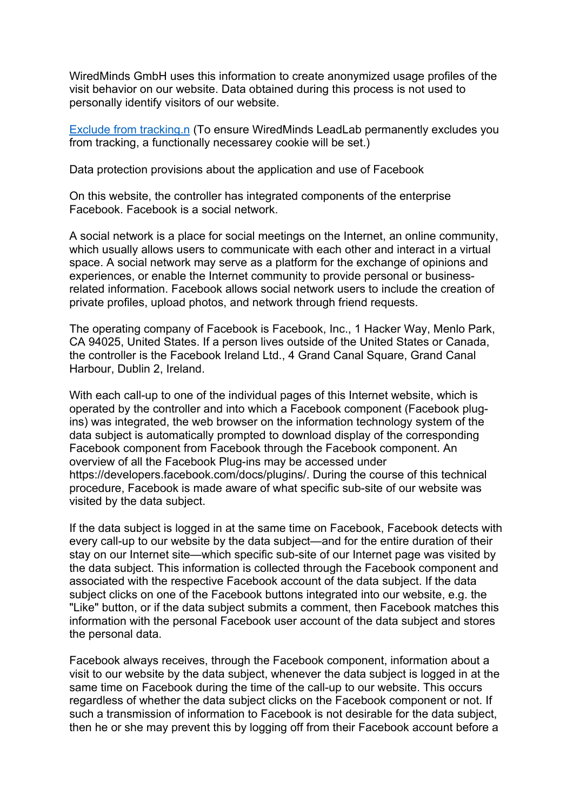WiredMinds GmbH uses this information to create anonymized usage profiles of the visit behavior on our website. Data obtained during this process is not used to personally identify visitors of our website.

Exclude from tracking.n (To ensure WiredMinds LeadLab permanently excludes you from tracking, a functionally necessarey cookie will be set.)

Data protection provisions about the application and use of Facebook

On this website, the controller has integrated components of the enterprise Facebook. Facebook is a social network.

A social network is a place for social meetings on the Internet, an online community, which usually allows users to communicate with each other and interact in a virtual space. A social network may serve as a platform for the exchange of opinions and experiences, or enable the Internet community to provide personal or businessrelated information. Facebook allows social network users to include the creation of private profiles, upload photos, and network through friend requests.

The operating company of Facebook is Facebook, Inc., 1 Hacker Way, Menlo Park, CA 94025, United States. If a person lives outside of the United States or Canada, the controller is the Facebook Ireland Ltd., 4 Grand Canal Square, Grand Canal Harbour, Dublin 2, Ireland.

With each call-up to one of the individual pages of this Internet website, which is operated by the controller and into which a Facebook component (Facebook plugins) was integrated, the web browser on the information technology system of the data subject is automatically prompted to download display of the corresponding Facebook component from Facebook through the Facebook component. An overview of all the Facebook Plug-ins may be accessed under https://developers.facebook.com/docs/plugins/. During the course of this technical procedure, Facebook is made aware of what specific sub-site of our website was visited by the data subject.

If the data subject is logged in at the same time on Facebook, Facebook detects with every call-up to our website by the data subject—and for the entire duration of their stay on our Internet site—which specific sub-site of our Internet page was visited by the data subject. This information is collected through the Facebook component and associated with the respective Facebook account of the data subject. If the data subject clicks on one of the Facebook buttons integrated into our website, e.g. the "Like" button, or if the data subject submits a comment, then Facebook matches this information with the personal Facebook user account of the data subject and stores the personal data.

Facebook always receives, through the Facebook component, information about a visit to our website by the data subject, whenever the data subject is logged in at the same time on Facebook during the time of the call-up to our website. This occurs regardless of whether the data subject clicks on the Facebook component or not. If such a transmission of information to Facebook is not desirable for the data subject, then he or she may prevent this by logging off from their Facebook account before a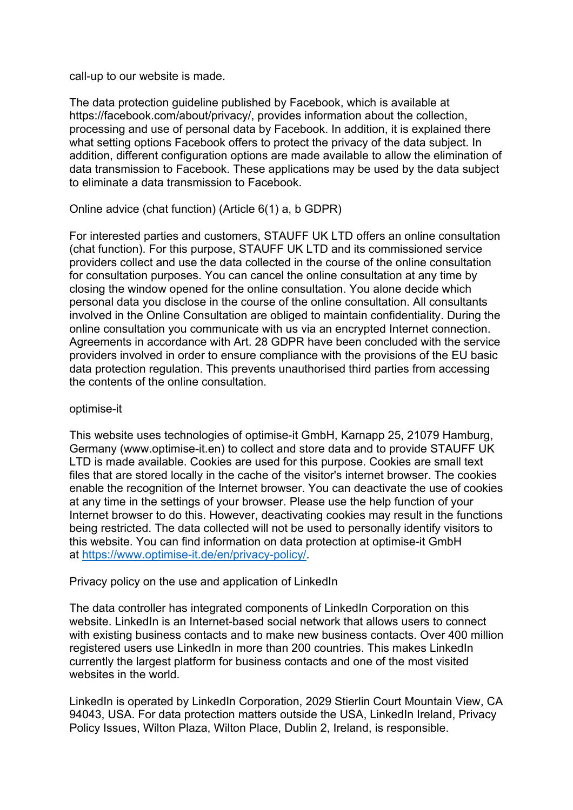call-up to our website is made.

The data protection guideline published by Facebook, which is available at https://facebook.com/about/privacy/, provides information about the collection, processing and use of personal data by Facebook. In addition, it is explained there what setting options Facebook offers to protect the privacy of the data subject. In addition, different configuration options are made available to allow the elimination of data transmission to Facebook. These applications may be used by the data subject to eliminate a data transmission to Facebook.

Online advice (chat function) (Article 6(1) a, b GDPR)

For interested parties and customers, STAUFF UK LTD offers an online consultation (chat function). For this purpose, STAUFF UK LTD and its commissioned service providers collect and use the data collected in the course of the online consultation for consultation purposes. You can cancel the online consultation at any time by closing the window opened for the online consultation. You alone decide which personal data you disclose in the course of the online consultation. All consultants involved in the Online Consultation are obliged to maintain confidentiality. During the online consultation you communicate with us via an encrypted Internet connection. Agreements in accordance with Art. 28 GDPR have been concluded with the service providers involved in order to ensure compliance with the provisions of the EU basic data protection regulation. This prevents unauthorised third parties from accessing the contents of the online consultation.

#### optimise-it

This website uses technologies of optimise-it GmbH, Karnapp 25, 21079 Hamburg, Germany (www.optimise-it.en) to collect and store data and to provide STAUFF UK LTD is made available. Cookies are used for this purpose. Cookies are small text files that are stored locally in the cache of the visitor's internet browser. The cookies enable the recognition of the Internet browser. You can deactivate the use of cookies at any time in the settings of your browser. Please use the help function of your Internet browser to do this. However, deactivating cookies may result in the functions being restricted. The data collected will not be used to personally identify visitors to this website. You can find information on data protection at optimise-it GmbH at https://www.optimise-it.de/en/privacy-policy/.

#### Privacy policy on the use and application of LinkedIn

The data controller has integrated components of LinkedIn Corporation on this website. LinkedIn is an Internet-based social network that allows users to connect with existing business contacts and to make new business contacts. Over 400 million registered users use LinkedIn in more than 200 countries. This makes LinkedIn currently the largest platform for business contacts and one of the most visited websites in the world.

LinkedIn is operated by LinkedIn Corporation, 2029 Stierlin Court Mountain View, CA 94043, USA. For data protection matters outside the USA, LinkedIn Ireland, Privacy Policy Issues, Wilton Plaza, Wilton Place, Dublin 2, Ireland, is responsible.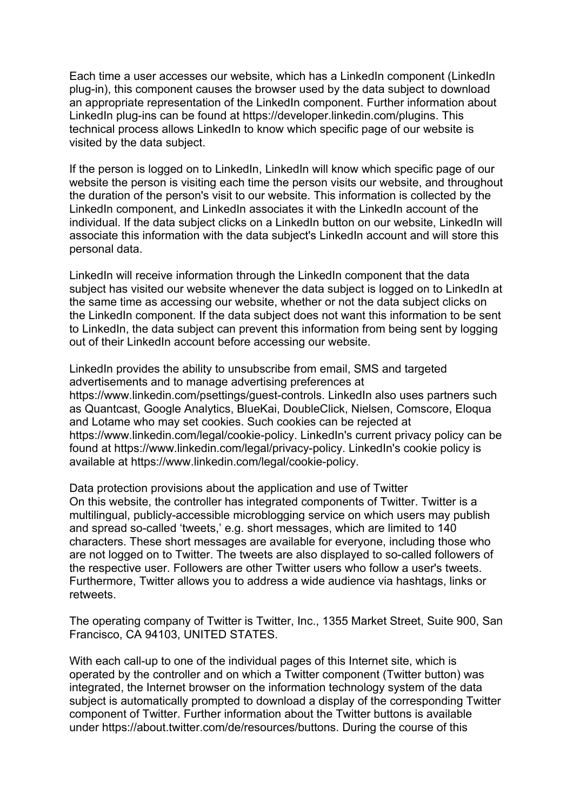Each time a user accesses our website, which has a LinkedIn component (LinkedIn plug-in), this component causes the browser used by the data subject to download an appropriate representation of the LinkedIn component. Further information about LinkedIn plug-ins can be found at https://developer.linkedin.com/plugins. This technical process allows LinkedIn to know which specific page of our website is visited by the data subject.

If the person is logged on to LinkedIn, LinkedIn will know which specific page of our website the person is visiting each time the person visits our website, and throughout the duration of the person's visit to our website. This information is collected by the LinkedIn component, and LinkedIn associates it with the LinkedIn account of the individual. If the data subject clicks on a LinkedIn button on our website, LinkedIn will associate this information with the data subject's LinkedIn account and will store this personal data.

LinkedIn will receive information through the LinkedIn component that the data subject has visited our website whenever the data subject is logged on to LinkedIn at the same time as accessing our website, whether or not the data subject clicks on the LinkedIn component. If the data subject does not want this information to be sent to LinkedIn, the data subject can prevent this information from being sent by logging out of their LinkedIn account before accessing our website.

LinkedIn provides the ability to unsubscribe from email, SMS and targeted advertisements and to manage advertising preferences at https://www.linkedin.com/psettings/quest-controls. LinkedIn also uses partners such as Quantcast, Google Analytics, BlueKai, DoubleClick, Nielsen, Comscore, Eloqua and Lotame who may set cookies. Such cookies can be rejected at https://www.linkedin.com/legal/cookie-policy. LinkedIn's current privacy policy can be found at https://www.linkedin.com/legal/privacy-policy. LinkedIn's cookie policy is available at https://www.linkedin.com/legal/cookie-policy.

Data protection provisions about the application and use of Twitter On this website, the controller has integrated components of Twitter. Twitter is a multilingual, publicly-accessible microblogging service on which users may publish and spread so-called 'tweets,' e.g. short messages, which are limited to 140 characters. These short messages are available for everyone, including those who are not logged on to Twitter. The tweets are also displayed to so-called followers of the respective user. Followers are other Twitter users who follow a user's tweets. Furthermore, Twitter allows you to address a wide audience via hashtags, links or retweets.

The operating company of Twitter is Twitter, Inc., 1355 Market Street, Suite 900, San Francisco, CA 94103, UNITED STATES.

With each call-up to one of the individual pages of this Internet site, which is operated by the controller and on which a Twitter component (Twitter button) was integrated, the Internet browser on the information technology system of the data subject is automatically prompted to download a display of the corresponding Twitter component of Twitter. Further information about the Twitter buttons is available under https://about.twitter.com/de/resources/buttons. During the course of this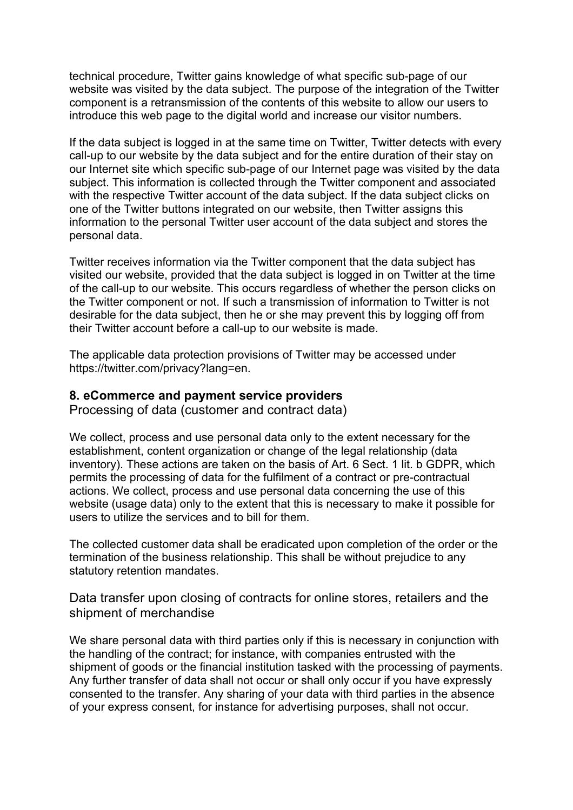technical procedure, Twitter gains knowledge of what specific sub-page of our website was visited by the data subject. The purpose of the integration of the Twitter component is a retransmission of the contents of this website to allow our users to introduce this web page to the digital world and increase our visitor numbers.

If the data subject is logged in at the same time on Twitter, Twitter detects with every call-up to our website by the data subject and for the entire duration of their stay on our Internet site which specific sub-page of our Internet page was visited by the data subject. This information is collected through the Twitter component and associated with the respective Twitter account of the data subject. If the data subject clicks on one of the Twitter buttons integrated on our website, then Twitter assigns this information to the personal Twitter user account of the data subject and stores the personal data.

Twitter receives information via the Twitter component that the data subject has visited our website, provided that the data subject is logged in on Twitter at the time of the call-up to our website. This occurs regardless of whether the person clicks on the Twitter component or not. If such a transmission of information to Twitter is not desirable for the data subject, then he or she may prevent this by logging off from their Twitter account before a call-up to our website is made.

The applicable data protection provisions of Twitter may be accessed under https://twitter.com/privacy?lang=en.

#### **8. eCommerce and payment service providers**

Processing of data (customer and contract data)

We collect, process and use personal data only to the extent necessary for the establishment, content organization or change of the legal relationship (data inventory). These actions are taken on the basis of Art. 6 Sect. 1 lit. b GDPR, which permits the processing of data for the fulfilment of a contract or pre-contractual actions. We collect, process and use personal data concerning the use of this website (usage data) only to the extent that this is necessary to make it possible for users to utilize the services and to bill for them.

The collected customer data shall be eradicated upon completion of the order or the termination of the business relationship. This shall be without prejudice to any statutory retention mandates.

Data transfer upon closing of contracts for online stores, retailers and the shipment of merchandise

We share personal data with third parties only if this is necessary in conjunction with the handling of the contract; for instance, with companies entrusted with the shipment of goods or the financial institution tasked with the processing of payments. Any further transfer of data shall not occur or shall only occur if you have expressly consented to the transfer. Any sharing of your data with third parties in the absence of your express consent, for instance for advertising purposes, shall not occur.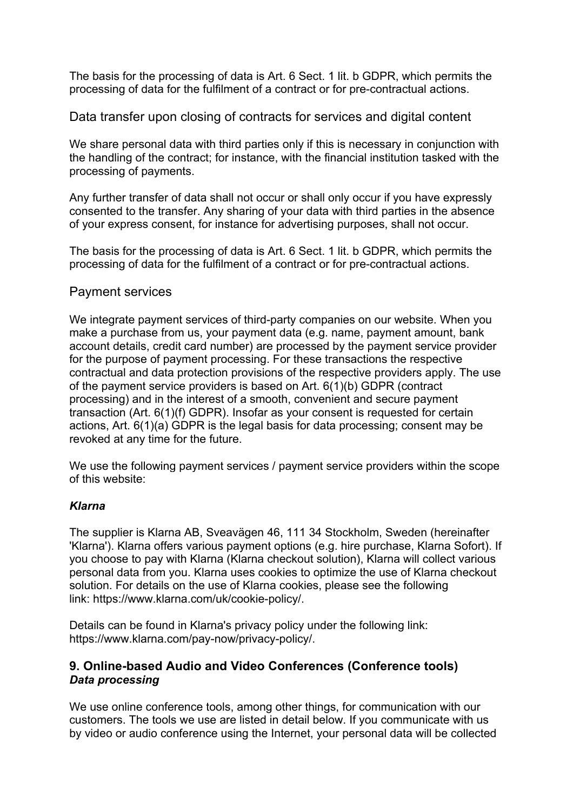The basis for the processing of data is Art. 6 Sect. 1 lit. b GDPR, which permits the processing of data for the fulfilment of a contract or for pre-contractual actions.

Data transfer upon closing of contracts for services and digital content

We share personal data with third parties only if this is necessary in conjunction with the handling of the contract; for instance, with the financial institution tasked with the processing of payments.

Any further transfer of data shall not occur or shall only occur if you have expressly consented to the transfer. Any sharing of your data with third parties in the absence of your express consent, for instance for advertising purposes, shall not occur.

The basis for the processing of data is Art. 6 Sect. 1 lit. b GDPR, which permits the processing of data for the fulfilment of a contract or for pre-contractual actions.

# Payment services

We integrate payment services of third-party companies on our website. When you make a purchase from us, your payment data (e.g. name, payment amount, bank account details, credit card number) are processed by the payment service provider for the purpose of payment processing. For these transactions the respective contractual and data protection provisions of the respective providers apply. The use of the payment service providers is based on Art. 6(1)(b) GDPR (contract processing) and in the interest of a smooth, convenient and secure payment transaction (Art. 6(1)(f) GDPR). Insofar as your consent is requested for certain actions, Art. 6(1)(a) GDPR is the legal basis for data processing; consent may be revoked at any time for the future.

We use the following payment services / payment service providers within the scope of this website:

# *Klarna*

The supplier is Klarna AB, Sveavägen 46, 111 34 Stockholm, Sweden (hereinafter 'Klarna'). Klarna offers various payment options (e.g. hire purchase, Klarna Sofort). If you choose to pay with Klarna (Klarna checkout solution), Klarna will collect various personal data from you. Klarna uses cookies to optimize the use of Klarna checkout solution. For details on the use of Klarna cookies, please see the following link: https://www.klarna.com/uk/cookie-policy/.

Details can be found in Klarna's privacy policy under the following link: https://www.klarna.com/pay-now/privacy-policy/.

# **9. Online-based Audio and Video Conferences (Conference tools)** *Data processing*

We use online conference tools, among other things, for communication with our customers. The tools we use are listed in detail below. If you communicate with us by video or audio conference using the Internet, your personal data will be collected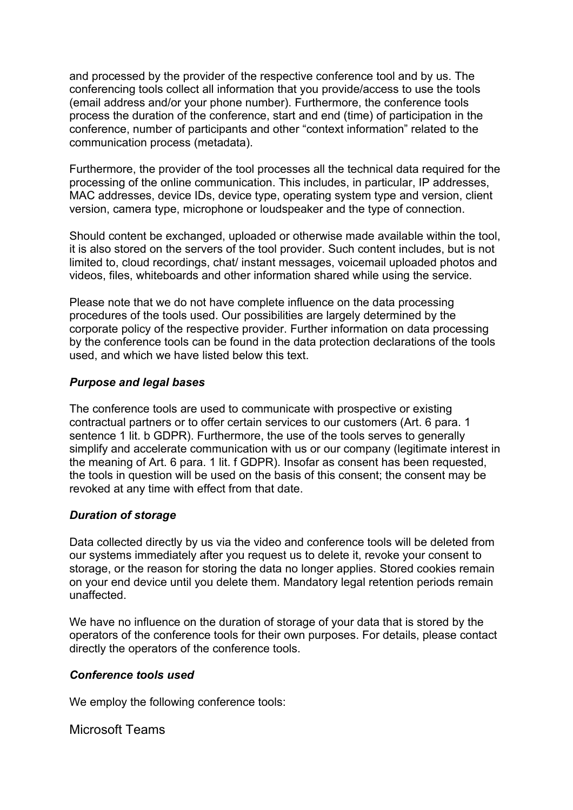and processed by the provider of the respective conference tool and by us. The conferencing tools collect all information that you provide/access to use the tools (email address and/or your phone number). Furthermore, the conference tools process the duration of the conference, start and end (time) of participation in the conference, number of participants and other "context information" related to the communication process (metadata).

Furthermore, the provider of the tool processes all the technical data required for the processing of the online communication. This includes, in particular, IP addresses, MAC addresses, device IDs, device type, operating system type and version, client version, camera type, microphone or loudspeaker and the type of connection.

Should content be exchanged, uploaded or otherwise made available within the tool, it is also stored on the servers of the tool provider. Such content includes, but is not limited to, cloud recordings, chat/ instant messages, voicemail uploaded photos and videos, files, whiteboards and other information shared while using the service.

Please note that we do not have complete influence on the data processing procedures of the tools used. Our possibilities are largely determined by the corporate policy of the respective provider. Further information on data processing by the conference tools can be found in the data protection declarations of the tools used, and which we have listed below this text.

#### *Purpose and legal bases*

The conference tools are used to communicate with prospective or existing contractual partners or to offer certain services to our customers (Art. 6 para. 1 sentence 1 lit. b GDPR). Furthermore, the use of the tools serves to generally simplify and accelerate communication with us or our company (legitimate interest in the meaning of Art. 6 para. 1 lit. f GDPR). Insofar as consent has been requested, the tools in question will be used on the basis of this consent; the consent may be revoked at any time with effect from that date.

#### *Duration of storage*

Data collected directly by us via the video and conference tools will be deleted from our systems immediately after you request us to delete it, revoke your consent to storage, or the reason for storing the data no longer applies. Stored cookies remain on your end device until you delete them. Mandatory legal retention periods remain unaffected.

We have no influence on the duration of storage of your data that is stored by the operators of the conference tools for their own purposes. For details, please contact directly the operators of the conference tools.

#### *Conference tools used*

We employ the following conference tools:

Microsoft Teams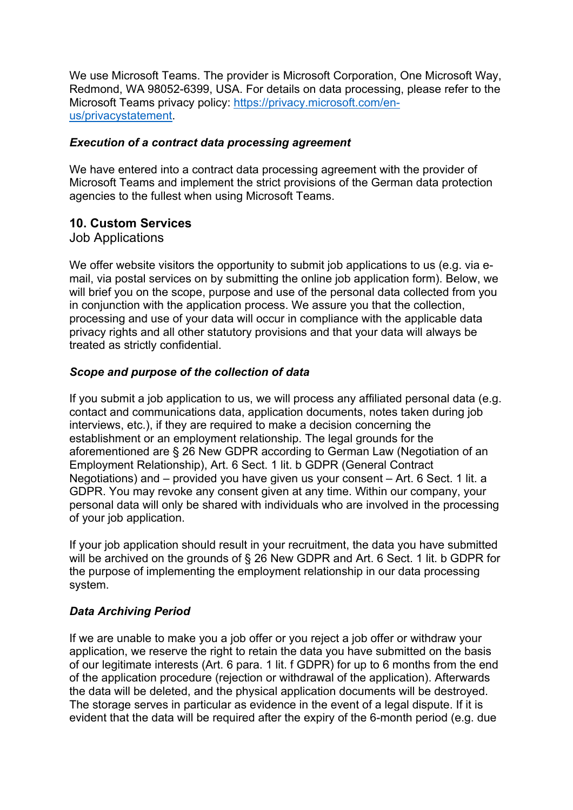We use Microsoft Teams. The provider is Microsoft Corporation, One Microsoft Way, Redmond, WA 98052-6399, USA. For details on data processing, please refer to the Microsoft Teams privacy policy: https://privacy.microsoft.com/enus/privacystatement.

#### *Execution of a contract data processing agreement*

We have entered into a contract data processing agreement with the provider of Microsoft Teams and implement the strict provisions of the German data protection agencies to the fullest when using Microsoft Teams.

# **10. Custom Services**

# Job Applications

We offer website visitors the opportunity to submit job applications to us (e.g. via email, via postal services on by submitting the online job application form). Below, we will brief you on the scope, purpose and use of the personal data collected from you in conjunction with the application process. We assure you that the collection, processing and use of your data will occur in compliance with the applicable data privacy rights and all other statutory provisions and that your data will always be treated as strictly confidential.

### *Scope and purpose of the collection of data*

If you submit a job application to us, we will process any affiliated personal data (e.g. contact and communications data, application documents, notes taken during job interviews, etc.), if they are required to make a decision concerning the establishment or an employment relationship. The legal grounds for the aforementioned are § 26 New GDPR according to German Law (Negotiation of an Employment Relationship), Art. 6 Sect. 1 lit. b GDPR (General Contract Negotiations) and – provided you have given us your consent – Art. 6 Sect. 1 lit. a GDPR. You may revoke any consent given at any time. Within our company, your personal data will only be shared with individuals who are involved in the processing of your job application.

If your job application should result in your recruitment, the data you have submitted will be archived on the grounds of § 26 New GDPR and Art. 6 Sect. 1 lit. b GDPR for the purpose of implementing the employment relationship in our data processing system.

#### *Data Archiving Period*

If we are unable to make you a job offer or you reject a job offer or withdraw your application, we reserve the right to retain the data you have submitted on the basis of our legitimate interests (Art. 6 para. 1 lit. f GDPR) for up to 6 months from the end of the application procedure (rejection or withdrawal of the application). Afterwards the data will be deleted, and the physical application documents will be destroyed. The storage serves in particular as evidence in the event of a legal dispute. If it is evident that the data will be required after the expiry of the 6-month period (e.g. due